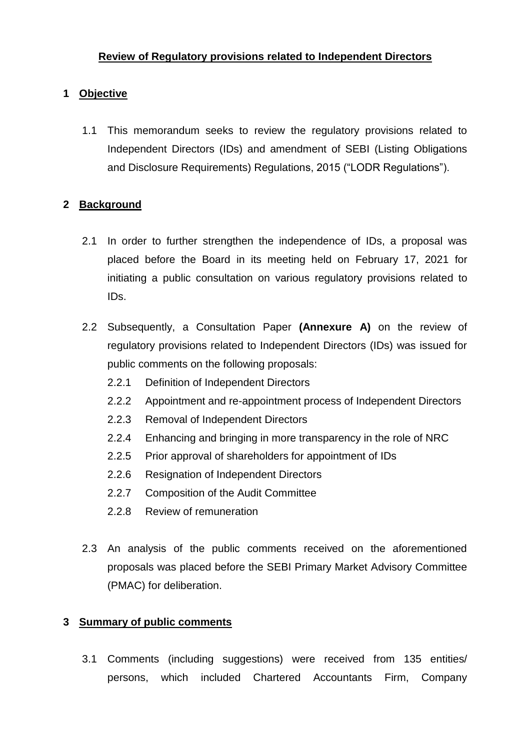## **Review of Regulatory provisions related to Independent Directors**

# **1 Objective**

1.1 This memorandum seeks to review the regulatory provisions related to Independent Directors (IDs) and amendment of SEBI (Listing Obligations and Disclosure Requirements) Regulations, 2015 ("LODR Regulations").

# **2 Background**

- 2.1 In order to further strengthen the independence of IDs, a proposal was placed before the Board in its meeting held on February 17, 2021 for initiating a public consultation on various regulatory provisions related to IDs.
- 2.2 Subsequently, a Consultation Paper **(Annexure A)** on the review of regulatory provisions related to Independent Directors (IDs) was issued for public comments on the following proposals:
	- 2.2.1 Definition of Independent Directors
	- 2.2.2 Appointment and re-appointment process of Independent Directors
	- 2.2.3 Removal of Independent Directors
	- 2.2.4 Enhancing and bringing in more transparency in the role of NRC
	- 2.2.5 Prior approval of shareholders for appointment of IDs
	- 2.2.6 Resignation of Independent Directors
	- 2.2.7 Composition of the Audit Committee
	- 2.2.8 Review of remuneration
- 2.3 An analysis of the public comments received on the aforementioned proposals was placed before the SEBI Primary Market Advisory Committee (PMAC) for deliberation.

## **3 Summary of public comments**

3.1 Comments (including suggestions) were received from 135 entities/ persons, which included Chartered Accountants Firm, Company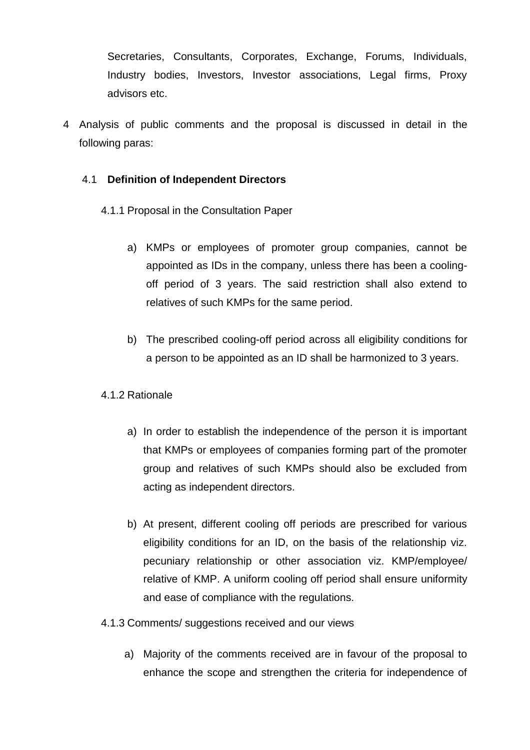Secretaries, Consultants, Corporates, Exchange, Forums, Individuals, Industry bodies, Investors, Investor associations, Legal firms, Proxy advisors etc.

4 Analysis of public comments and the proposal is discussed in detail in the following paras:

## 4.1 **Definition of Independent Directors**

- 4.1.1 Proposal in the Consultation Paper
	- a) KMPs or employees of promoter group companies, cannot be appointed as IDs in the company, unless there has been a coolingoff period of 3 years. The said restriction shall also extend to relatives of such KMPs for the same period.
	- b) The prescribed cooling-off period across all eligibility conditions for a person to be appointed as an ID shall be harmonized to 3 years.

## 4.1.2 Rationale

- a) In order to establish the independence of the person it is important that KMPs or employees of companies forming part of the promoter group and relatives of such KMPs should also be excluded from acting as independent directors.
- b) At present, different cooling off periods are prescribed for various eligibility conditions for an ID, on the basis of the relationship viz. pecuniary relationship or other association viz. KMP/employee/ relative of KMP. A uniform cooling off period shall ensure uniformity and ease of compliance with the regulations.
- 4.1.3 Comments/ suggestions received and our views
	- a) Majority of the comments received are in favour of the proposal to enhance the scope and strengthen the criteria for independence of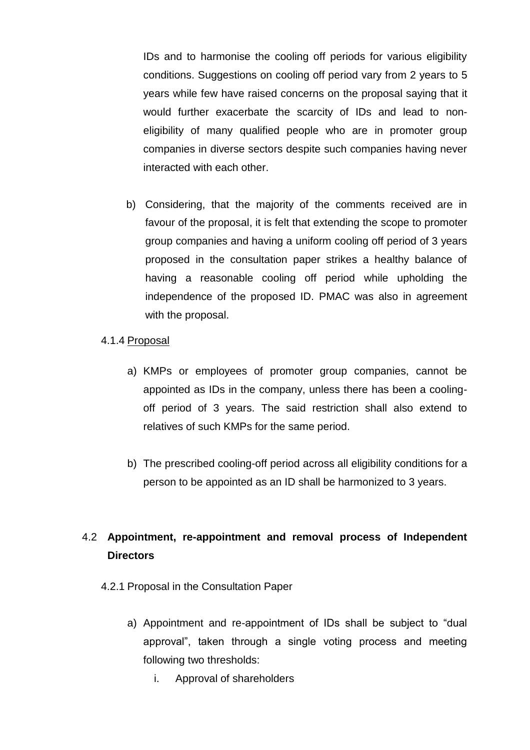IDs and to harmonise the cooling off periods for various eligibility conditions. Suggestions on cooling off period vary from 2 years to 5 years while few have raised concerns on the proposal saying that it would further exacerbate the scarcity of IDs and lead to noneligibility of many qualified people who are in promoter group companies in diverse sectors despite such companies having never interacted with each other.

b) Considering, that the majority of the comments received are in favour of the proposal, it is felt that extending the scope to promoter group companies and having a uniform cooling off period of 3 years proposed in the consultation paper strikes a healthy balance of having a reasonable cooling off period while upholding the independence of the proposed ID. PMAC was also in agreement with the proposal.

## 4.1.4 Proposal

- a) KMPs or employees of promoter group companies, cannot be appointed as IDs in the company, unless there has been a coolingoff period of 3 years. The said restriction shall also extend to relatives of such KMPs for the same period.
- b) The prescribed cooling-off period across all eligibility conditions for a person to be appointed as an ID shall be harmonized to 3 years.

# 4.2 **Appointment, re-appointment and removal process of Independent Directors**

- 4.2.1 Proposal in the Consultation Paper
	- a) Appointment and re-appointment of IDs shall be subject to "dual approval", taken through a single voting process and meeting following two thresholds:
		- i. Approval of shareholders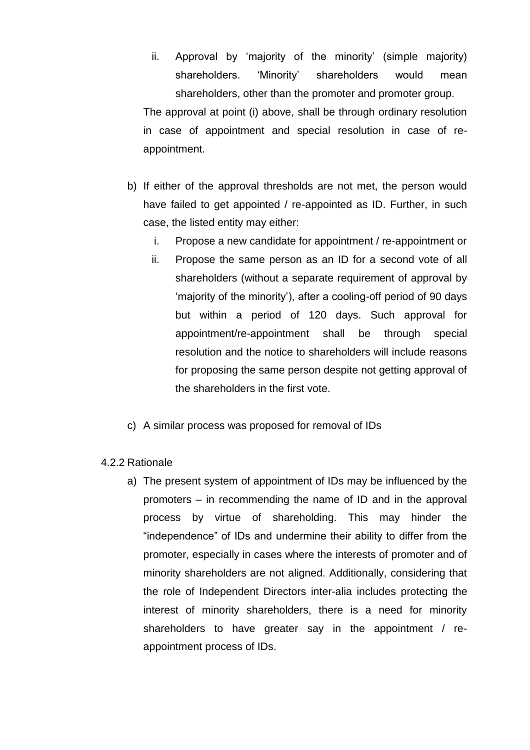- ii. Approval by 'majority of the minority' (simple majority) shareholders. 'Minority' shareholders would mean shareholders, other than the promoter and promoter group. The approval at point (i) above, shall be through ordinary resolution in case of appointment and special resolution in case of re-
- appointment.
- b) If either of the approval thresholds are not met, the person would have failed to get appointed / re-appointed as ID. Further, in such case, the listed entity may either:
	- i. Propose a new candidate for appointment / re-appointment or
	- ii. Propose the same person as an ID for a second vote of all shareholders (without a separate requirement of approval by 'majority of the minority'), after a cooling-off period of 90 days but within a period of 120 days. Such approval for appointment/re-appointment shall be through special resolution and the notice to shareholders will include reasons for proposing the same person despite not getting approval of the shareholders in the first vote.
- c) A similar process was proposed for removal of IDs

#### 4.2.2 Rationale

a) The present system of appointment of IDs may be influenced by the promoters – in recommending the name of ID and in the approval process by virtue of shareholding. This may hinder the "independence" of IDs and undermine their ability to differ from the promoter, especially in cases where the interests of promoter and of minority shareholders are not aligned. Additionally, considering that the role of Independent Directors inter-alia includes protecting the interest of minority shareholders, there is a need for minority shareholders to have greater say in the appointment / reappointment process of IDs.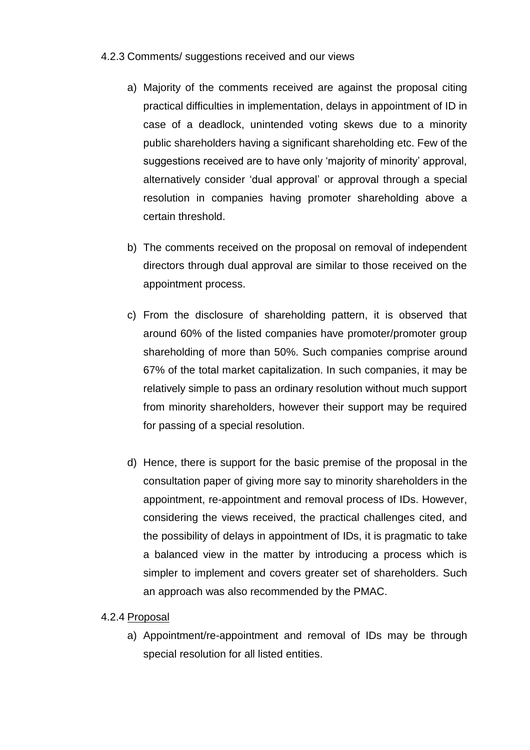#### 4.2.3 Comments/ suggestions received and our views

- a) Majority of the comments received are against the proposal citing practical difficulties in implementation, delays in appointment of ID in case of a deadlock, unintended voting skews due to a minority public shareholders having a significant shareholding etc. Few of the suggestions received are to have only 'majority of minority' approval, alternatively consider 'dual approval' or approval through a special resolution in companies having promoter shareholding above a certain threshold.
- b) The comments received on the proposal on removal of independent directors through dual approval are similar to those received on the appointment process.
- c) From the disclosure of shareholding pattern, it is observed that around 60% of the listed companies have promoter/promoter group shareholding of more than 50%. Such companies comprise around 67% of the total market capitalization. In such companies, it may be relatively simple to pass an ordinary resolution without much support from minority shareholders, however their support may be required for passing of a special resolution.
- d) Hence, there is support for the basic premise of the proposal in the consultation paper of giving more say to minority shareholders in the appointment, re-appointment and removal process of IDs. However, considering the views received, the practical challenges cited, and the possibility of delays in appointment of IDs, it is pragmatic to take a balanced view in the matter by introducing a process which is simpler to implement and covers greater set of shareholders. Such an approach was also recommended by the PMAC.

## 4.2.4 Proposal

a) Appointment/re-appointment and removal of IDs may be through special resolution for all listed entities.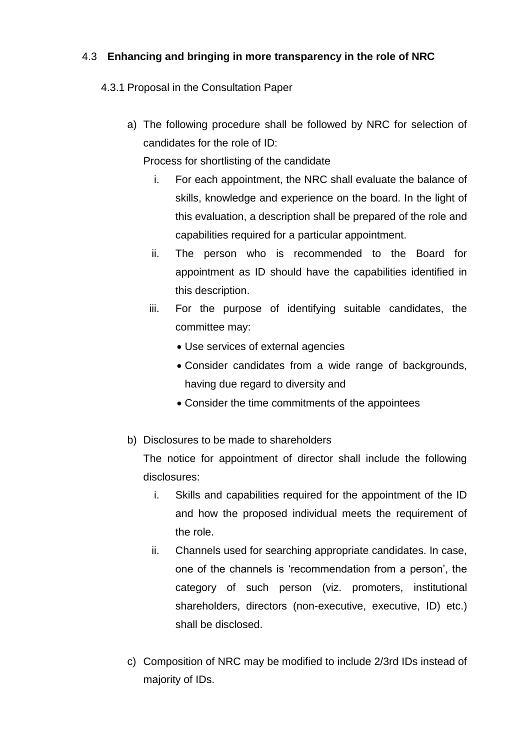# 4.3 **Enhancing and bringing in more transparency in the role of NRC**

## 4.3.1 Proposal in the Consultation Paper

a) The following procedure shall be followed by NRC for selection of candidates for the role of ID:

Process for shortlisting of the candidate

- i. For each appointment, the NRC shall evaluate the balance of skills, knowledge and experience on the board. In the light of this evaluation, a description shall be prepared of the role and capabilities required for a particular appointment.
- ii. The person who is recommended to the Board for appointment as ID should have the capabilities identified in this description.
- iii. For the purpose of identifying suitable candidates, the committee may:
	- Use services of external agencies
	- Consider candidates from a wide range of backgrounds, having due regard to diversity and
	- Consider the time commitments of the appointees
- b) Disclosures to be made to shareholders

The notice for appointment of director shall include the following disclosures:

- i. Skills and capabilities required for the appointment of the ID and how the proposed individual meets the requirement of the role.
- ii. Channels used for searching appropriate candidates. In case, one of the channels is 'recommendation from a person', the category of such person (viz. promoters, institutional shareholders, directors (non-executive, executive, ID) etc.) shall be disclosed.
- c) Composition of NRC may be modified to include 2/3rd IDs instead of majority of IDs.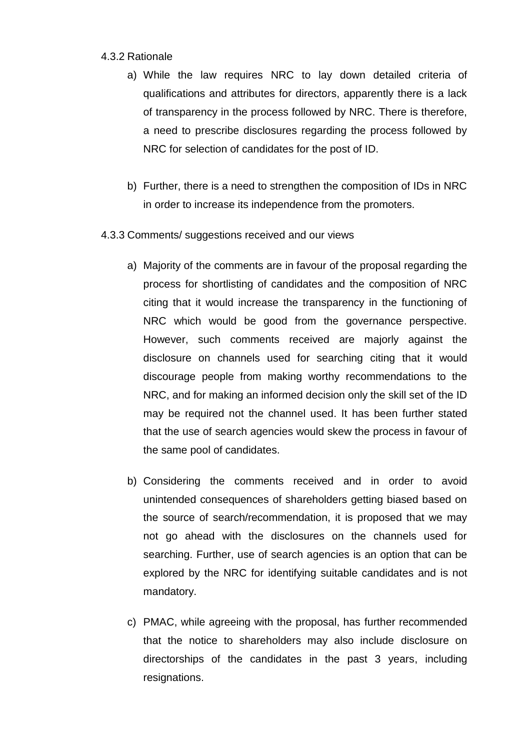#### 4.3.2 Rationale

- a) While the law requires NRC to lay down detailed criteria of qualifications and attributes for directors, apparently there is a lack of transparency in the process followed by NRC. There is therefore, a need to prescribe disclosures regarding the process followed by NRC for selection of candidates for the post of ID.
- b) Further, there is a need to strengthen the composition of IDs in NRC in order to increase its independence from the promoters.
- 4.3.3 Comments/ suggestions received and our views
	- a) Majority of the comments are in favour of the proposal regarding the process for shortlisting of candidates and the composition of NRC citing that it would increase the transparency in the functioning of NRC which would be good from the governance perspective. However, such comments received are majorly against the disclosure on channels used for searching citing that it would discourage people from making worthy recommendations to the NRC, and for making an informed decision only the skill set of the ID may be required not the channel used. It has been further stated that the use of search agencies would skew the process in favour of the same pool of candidates.
	- b) Considering the comments received and in order to avoid unintended consequences of shareholders getting biased based on the source of search/recommendation, it is proposed that we may not go ahead with the disclosures on the channels used for searching. Further, use of search agencies is an option that can be explored by the NRC for identifying suitable candidates and is not mandatory.
	- c) PMAC, while agreeing with the proposal, has further recommended that the notice to shareholders may also include disclosure on directorships of the candidates in the past 3 years, including resignations.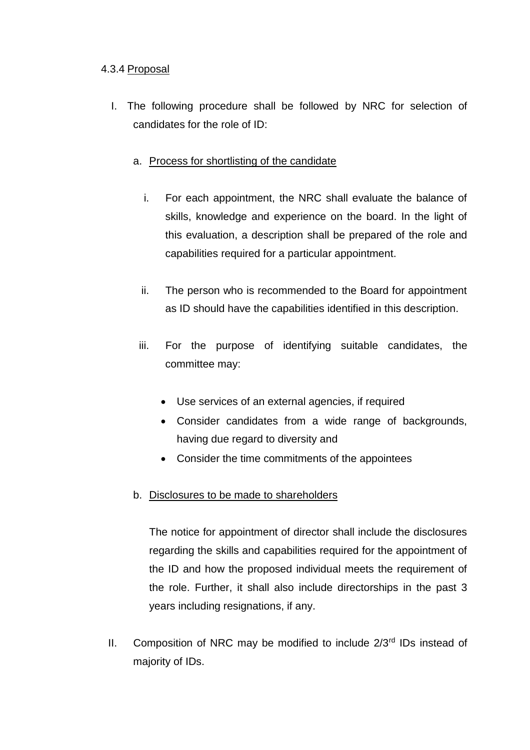## 4.3.4 Proposal

I. The following procedure shall be followed by NRC for selection of candidates for the role of ID:

# a. Process for shortlisting of the candidate

- i. For each appointment, the NRC shall evaluate the balance of skills, knowledge and experience on the board. In the light of this evaluation, a description shall be prepared of the role and capabilities required for a particular appointment.
- ii. The person who is recommended to the Board for appointment as ID should have the capabilities identified in this description.
- iii. For the purpose of identifying suitable candidates, the committee may:
	- Use services of an external agencies, if required
	- Consider candidates from a wide range of backgrounds, having due regard to diversity and
	- Consider the time commitments of the appointees
- b. Disclosures to be made to shareholders

The notice for appointment of director shall include the disclosures regarding the skills and capabilities required for the appointment of the ID and how the proposed individual meets the requirement of the role. Further, it shall also include directorships in the past 3 years including resignations, if any.

II. Composition of NRC may be modified to include 2/3<sup>rd</sup> IDs instead of majority of IDs.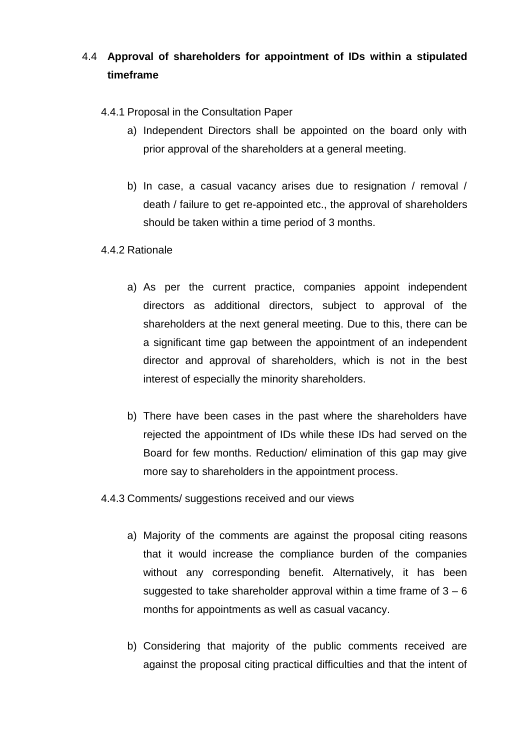# 4.4 **Approval of shareholders for appointment of IDs within a stipulated timeframe**

- 4.4.1 Proposal in the Consultation Paper
	- a) Independent Directors shall be appointed on the board only with prior approval of the shareholders at a general meeting.
	- b) In case, a casual vacancy arises due to resignation / removal / death / failure to get re-appointed etc., the approval of shareholders should be taken within a time period of 3 months.

## 4.4.2 Rationale

- a) As per the current practice, companies appoint independent directors as additional directors, subject to approval of the shareholders at the next general meeting. Due to this, there can be a significant time gap between the appointment of an independent director and approval of shareholders, which is not in the best interest of especially the minority shareholders.
- b) There have been cases in the past where the shareholders have rejected the appointment of IDs while these IDs had served on the Board for few months. Reduction/ elimination of this gap may give more say to shareholders in the appointment process.
- 4.4.3 Comments/ suggestions received and our views
	- a) Majority of the comments are against the proposal citing reasons that it would increase the compliance burden of the companies without any corresponding benefit. Alternatively, it has been suggested to take shareholder approval within a time frame of  $3 - 6$ months for appointments as well as casual vacancy.
	- b) Considering that majority of the public comments received are against the proposal citing practical difficulties and that the intent of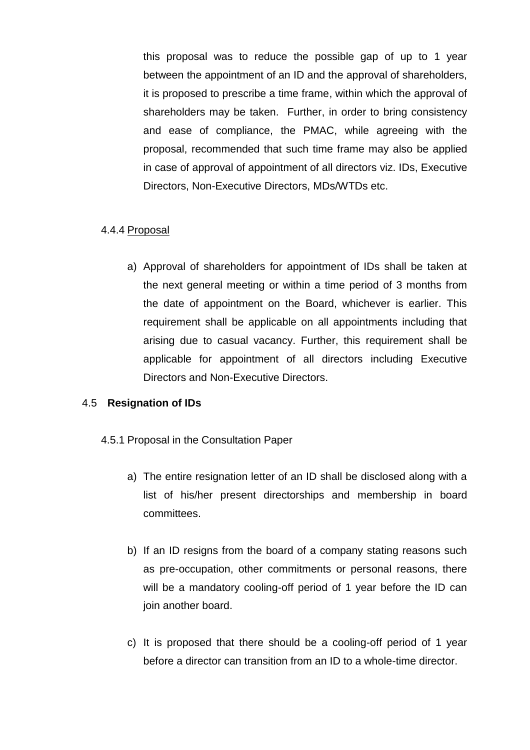this proposal was to reduce the possible gap of up to 1 year between the appointment of an ID and the approval of shareholders, it is proposed to prescribe a time frame, within which the approval of shareholders may be taken. Further, in order to bring consistency and ease of compliance, the PMAC, while agreeing with the proposal, recommended that such time frame may also be applied in case of approval of appointment of all directors viz. IDs, Executive Directors, Non-Executive Directors, MDs/WTDs etc.

## 4.4.4 Proposal

a) Approval of shareholders for appointment of IDs shall be taken at the next general meeting or within a time period of 3 months from the date of appointment on the Board, whichever is earlier. This requirement shall be applicable on all appointments including that arising due to casual vacancy. Further, this requirement shall be applicable for appointment of all directors including Executive Directors and Non-Executive Directors.

## 4.5 **Resignation of IDs**

- 4.5.1 Proposal in the Consultation Paper
	- a) The entire resignation letter of an ID shall be disclosed along with a list of his/her present directorships and membership in board committees.
	- b) If an ID resigns from the board of a company stating reasons such as pre-occupation, other commitments or personal reasons, there will be a mandatory cooling-off period of 1 year before the ID can join another board.
	- c) It is proposed that there should be a cooling-off period of 1 year before a director can transition from an ID to a whole-time director.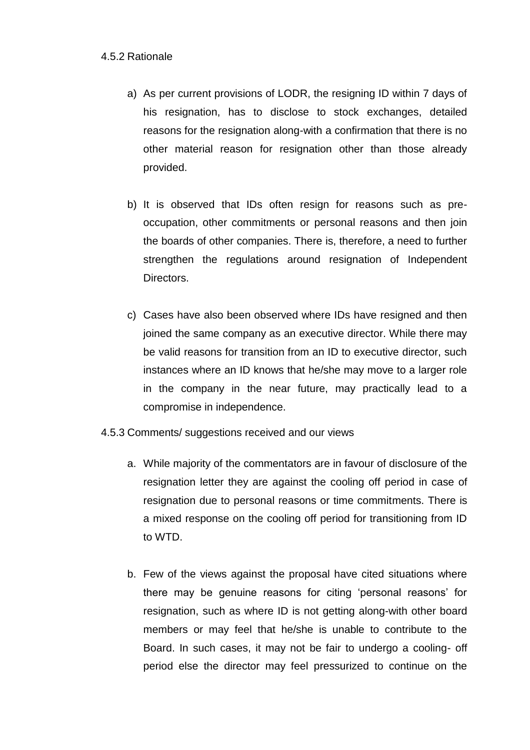- a) As per current provisions of LODR, the resigning ID within 7 days of his resignation, has to disclose to stock exchanges, detailed reasons for the resignation along-with a confirmation that there is no other material reason for resignation other than those already provided.
- b) It is observed that IDs often resign for reasons such as preoccupation, other commitments or personal reasons and then join the boards of other companies. There is, therefore, a need to further strengthen the regulations around resignation of Independent Directors.
- c) Cases have also been observed where IDs have resigned and then joined the same company as an executive director. While there may be valid reasons for transition from an ID to executive director, such instances where an ID knows that he/she may move to a larger role in the company in the near future, may practically lead to a compromise in independence.
- 4.5.3 Comments/ suggestions received and our views
	- a. While majority of the commentators are in favour of disclosure of the resignation letter they are against the cooling off period in case of resignation due to personal reasons or time commitments. There is a mixed response on the cooling off period for transitioning from ID to WTD.
	- b. Few of the views against the proposal have cited situations where there may be genuine reasons for citing 'personal reasons' for resignation, such as where ID is not getting along-with other board members or may feel that he/she is unable to contribute to the Board. In such cases, it may not be fair to undergo a cooling- off period else the director may feel pressurized to continue on the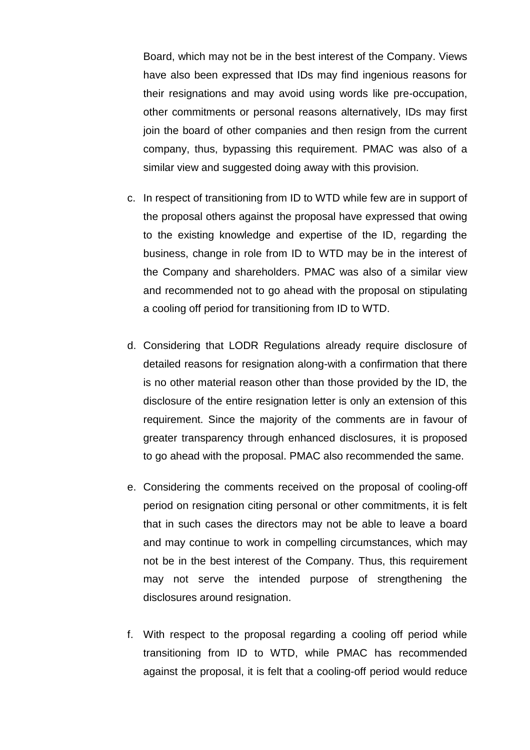Board, which may not be in the best interest of the Company. Views have also been expressed that IDs may find ingenious reasons for their resignations and may avoid using words like pre-occupation, other commitments or personal reasons alternatively, IDs may first join the board of other companies and then resign from the current company, thus, bypassing this requirement. PMAC was also of a similar view and suggested doing away with this provision.

- c. In respect of transitioning from ID to WTD while few are in support of the proposal others against the proposal have expressed that owing to the existing knowledge and expertise of the ID, regarding the business, change in role from ID to WTD may be in the interest of the Company and shareholders. PMAC was also of a similar view and recommended not to go ahead with the proposal on stipulating a cooling off period for transitioning from ID to WTD.
- d. Considering that LODR Regulations already require disclosure of detailed reasons for resignation along-with a confirmation that there is no other material reason other than those provided by the ID, the disclosure of the entire resignation letter is only an extension of this requirement. Since the majority of the comments are in favour of greater transparency through enhanced disclosures, it is proposed to go ahead with the proposal. PMAC also recommended the same.
- e. Considering the comments received on the proposal of cooling-off period on resignation citing personal or other commitments, it is felt that in such cases the directors may not be able to leave a board and may continue to work in compelling circumstances, which may not be in the best interest of the Company. Thus, this requirement may not serve the intended purpose of strengthening the disclosures around resignation.
- f. With respect to the proposal regarding a cooling off period while transitioning from ID to WTD, while PMAC has recommended against the proposal, it is felt that a cooling-off period would reduce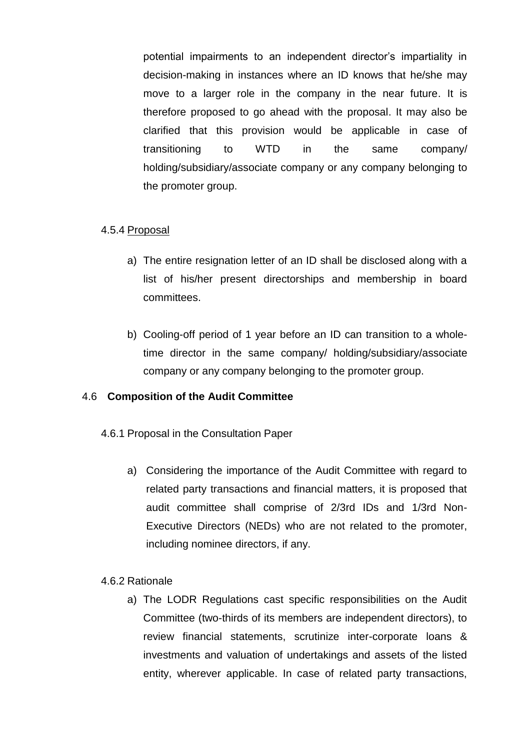potential impairments to an independent director's impartiality in decision-making in instances where an ID knows that he/she may move to a larger role in the company in the near future. It is therefore proposed to go ahead with the proposal. It may also be clarified that this provision would be applicable in case of transitioning to WTD in the same company/ holding/subsidiary/associate company or any company belonging to the promoter group.

## 4.5.4 Proposal

- a) The entire resignation letter of an ID shall be disclosed along with a list of his/her present directorships and membership in board committees.
- b) Cooling-off period of 1 year before an ID can transition to a wholetime director in the same company/ holding/subsidiary/associate company or any company belonging to the promoter group.

#### 4.6 **Composition of the Audit Committee**

- 4.6.1 Proposal in the Consultation Paper
	- a) Considering the importance of the Audit Committee with regard to related party transactions and financial matters, it is proposed that audit committee shall comprise of 2/3rd IDs and 1/3rd Non-Executive Directors (NEDs) who are not related to the promoter, including nominee directors, if any.

#### 4.6.2 Rationale

a) The LODR Regulations cast specific responsibilities on the Audit Committee (two-thirds of its members are independent directors), to review financial statements, scrutinize inter-corporate loans & investments and valuation of undertakings and assets of the listed entity, wherever applicable. In case of related party transactions,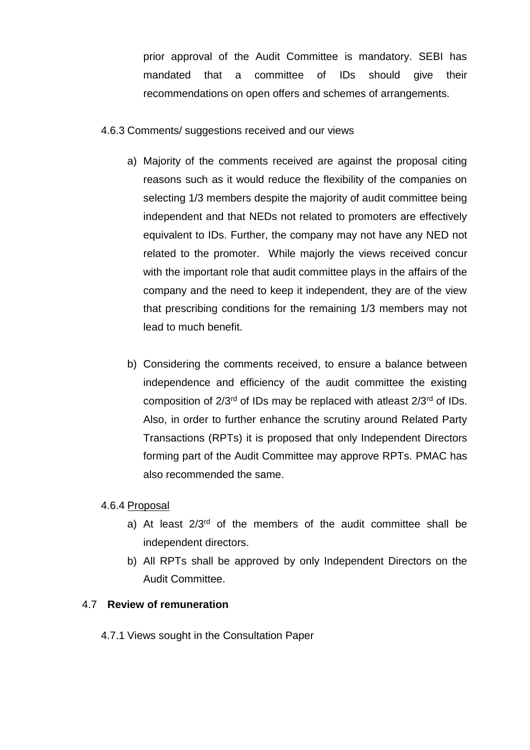prior approval of the Audit Committee is mandatory. SEBI has mandated that a committee of IDs should give their recommendations on open offers and schemes of arrangements.

4.6.3 Comments/ suggestions received and our views

- a) Majority of the comments received are against the proposal citing reasons such as it would reduce the flexibility of the companies on selecting 1/3 members despite the majority of audit committee being independent and that NEDs not related to promoters are effectively equivalent to IDs. Further, the company may not have any NED not related to the promoter. While majorly the views received concur with the important role that audit committee plays in the affairs of the company and the need to keep it independent, they are of the view that prescribing conditions for the remaining 1/3 members may not lead to much benefit.
- b) Considering the comments received, to ensure a balance between independence and efficiency of the audit committee the existing composition of  $2/3^{rd}$  of IDs may be replaced with atleast  $2/3^{rd}$  of IDs. Also, in order to further enhance the scrutiny around Related Party Transactions (RPTs) it is proposed that only Independent Directors forming part of the Audit Committee may approve RPTs. PMAC has also recommended the same.

# 4.6.4 Proposal

- a) At least  $2/3<sup>rd</sup>$  of the members of the audit committee shall be independent directors.
- b) All RPTs shall be approved by only Independent Directors on the Audit Committee.

# 4.7 **Review of remuneration**

4.7.1 Views sought in the Consultation Paper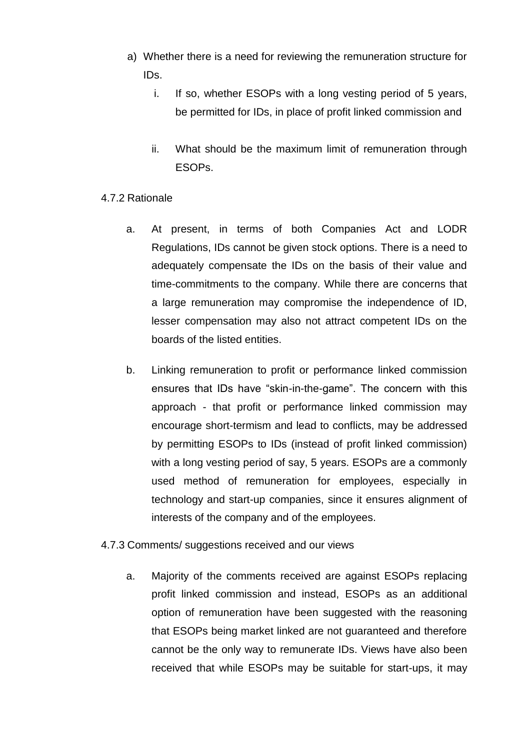- a) Whether there is a need for reviewing the remuneration structure for IDs.
	- i. If so, whether ESOPs with a long vesting period of 5 years, be permitted for IDs, in place of profit linked commission and
	- ii. What should be the maximum limit of remuneration through ESOPs.

#### 4.7.2 Rationale

- a. At present, in terms of both Companies Act and LODR Regulations, IDs cannot be given stock options. There is a need to adequately compensate the IDs on the basis of their value and time-commitments to the company. While there are concerns that a large remuneration may compromise the independence of ID, lesser compensation may also not attract competent IDs on the boards of the listed entities.
- b. Linking remuneration to profit or performance linked commission ensures that IDs have "skin-in-the-game". The concern with this approach - that profit or performance linked commission may encourage short-termism and lead to conflicts, may be addressed by permitting ESOPs to IDs (instead of profit linked commission) with a long vesting period of say, 5 years. ESOPs are a commonly used method of remuneration for employees, especially in technology and start-up companies, since it ensures alignment of interests of the company and of the employees.

#### 4.7.3 Comments/ suggestions received and our views

a. Majority of the comments received are against ESOPs replacing profit linked commission and instead, ESOPs as an additional option of remuneration have been suggested with the reasoning that ESOPs being market linked are not guaranteed and therefore cannot be the only way to remunerate IDs. Views have also been received that while ESOPs may be suitable for start-ups, it may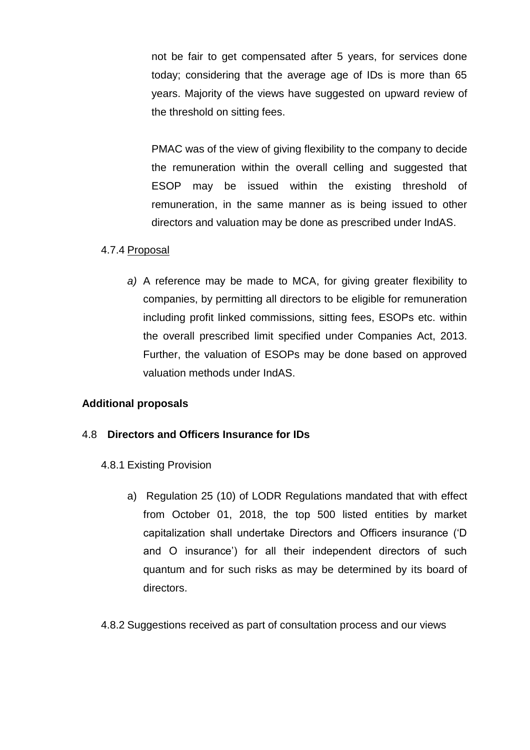not be fair to get compensated after 5 years, for services done today; considering that the average age of IDs is more than 65 years. Majority of the views have suggested on upward review of the threshold on sitting fees.

PMAC was of the view of giving flexibility to the company to decide the remuneration within the overall celling and suggested that ESOP may be issued within the existing threshold of remuneration, in the same manner as is being issued to other directors and valuation may be done as prescribed under IndAS.

#### 4.7.4 Proposal

*a)* A reference may be made to MCA, for giving greater flexibility to companies, by permitting all directors to be eligible for remuneration including profit linked commissions, sitting fees, ESOPs etc. within the overall prescribed limit specified under Companies Act, 2013. Further, the valuation of ESOPs may be done based on approved valuation methods under IndAS.

## **Additional proposals**

#### 4.8 **Directors and Officers Insurance for IDs**

- 4.8.1 Existing Provision
	- a) Regulation 25 (10) of LODR Regulations mandated that with effect from October 01, 2018, the top 500 listed entities by market capitalization shall undertake Directors and Officers insurance ('D and O insurance') for all their independent directors of such quantum and for such risks as may be determined by its board of directors.
- 4.8.2 Suggestions received as part of consultation process and our views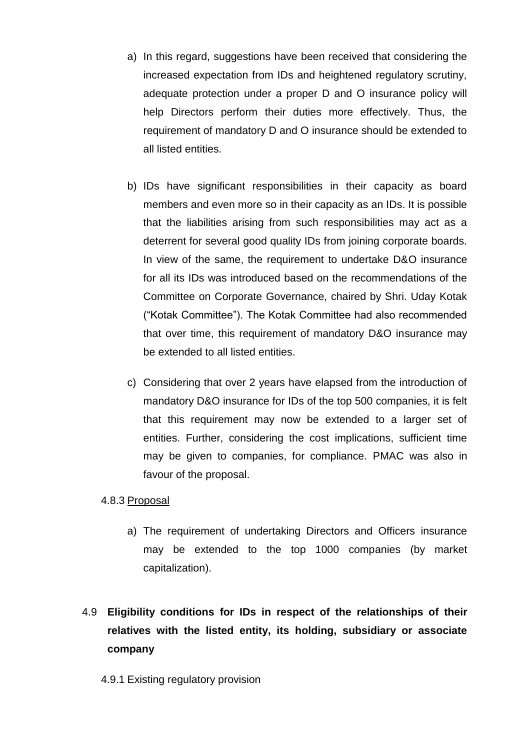- a) In this regard, suggestions have been received that considering the increased expectation from IDs and heightened regulatory scrutiny, adequate protection under a proper D and O insurance policy will help Directors perform their duties more effectively. Thus, the requirement of mandatory D and O insurance should be extended to all listed entities.
- b) IDs have significant responsibilities in their capacity as board members and even more so in their capacity as an IDs. It is possible that the liabilities arising from such responsibilities may act as a deterrent for several good quality IDs from joining corporate boards. In view of the same, the requirement to undertake D&O insurance for all its IDs was introduced based on the recommendations of the Committee on Corporate Governance, chaired by Shri. Uday Kotak ("Kotak Committee"). The Kotak Committee had also recommended that over time, this requirement of mandatory D&O insurance may be extended to all listed entities.
- c) Considering that over 2 years have elapsed from the introduction of mandatory D&O insurance for IDs of the top 500 companies, it is felt that this requirement may now be extended to a larger set of entities. Further, considering the cost implications, sufficient time may be given to companies, for compliance. PMAC was also in favour of the proposal.

## 4.8.3 Proposal

- a) The requirement of undertaking Directors and Officers insurance may be extended to the top 1000 companies (by market capitalization).
- 4.9 **Eligibility conditions for IDs in respect of the relationships of their relatives with the listed entity, its holding, subsidiary or associate company**
	- 4.9.1 Existing regulatory provision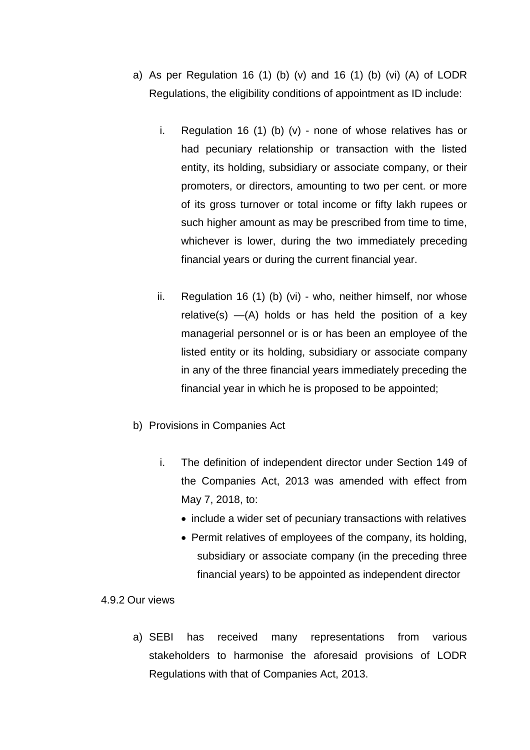- a) As per Regulation 16 (1) (b) (v) and 16 (1) (b) (vi) (A) of LODR Regulations, the eligibility conditions of appointment as ID include:
	- i. Regulation 16 (1) (b) (v) none of whose relatives has or had pecuniary relationship or transaction with the listed entity, its holding, subsidiary or associate company, or their promoters, or directors, amounting to two per cent. or more of its gross turnover or total income or fifty lakh rupees or such higher amount as may be prescribed from time to time, whichever is lower, during the two immediately preceding financial years or during the current financial year.
	- ii. Regulation 16 (1) (b) (vi) who, neither himself, nor whose relative(s)  $-(A)$  holds or has held the position of a key managerial personnel or is or has been an employee of the listed entity or its holding, subsidiary or associate company in any of the three financial years immediately preceding the financial year in which he is proposed to be appointed;
- b) Provisions in Companies Act
	- i. The definition of independent director under Section 149 of the Companies Act, 2013 was amended with effect from May 7, 2018, to:
		- include a wider set of pecuniary transactions with relatives
		- Permit relatives of employees of the company, its holding, subsidiary or associate company (in the preceding three financial years) to be appointed as independent director

#### 4.9.2 Our views

a) SEBI has received many representations from various stakeholders to harmonise the aforesaid provisions of LODR Regulations with that of Companies Act, 2013.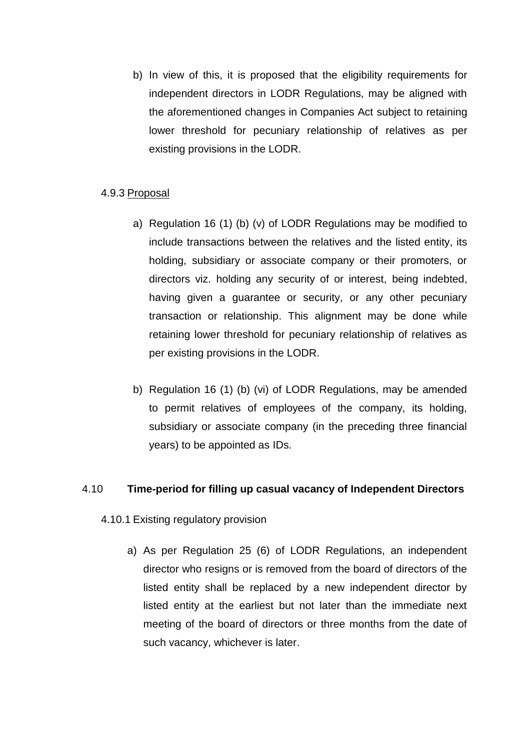b) In view of this, it is proposed that the eligibility requirements for independent directors in LODR Regulations, may be aligned with the aforementioned changes in Companies Act subject to retaining lower threshold for pecuniary relationship of relatives as per existing provisions in the LODR.

# 4.9.3 Proposal

- a) Regulation 16 (1) (b) (v) of LODR Regulations may be modified to include transactions between the relatives and the listed entity, its holding, subsidiary or associate company or their promoters, or directors viz. holding any security of or interest, being indebted, having given a guarantee or security, or any other pecuniary transaction or relationship. This alignment may be done while retaining lower threshold for pecuniary relationship of relatives as per existing provisions in the LODR.
- b) Regulation 16 (1) (b) (vi) of LODR Regulations, may be amended to permit relatives of employees of the company, its holding, subsidiary or associate company (in the preceding three financial years) to be appointed as IDs.

## 4.10 **Time-period for filling up casual vacancy of Independent Directors**

#### 4.10.1 Existing regulatory provision

a) As per Regulation 25 (6) of LODR Regulations, an independent director who resigns or is removed from the board of directors of the listed entity shall be replaced by a new independent director by listed entity at the earliest but not later than the immediate next meeting of the board of directors or three months from the date of such vacancy, whichever is later.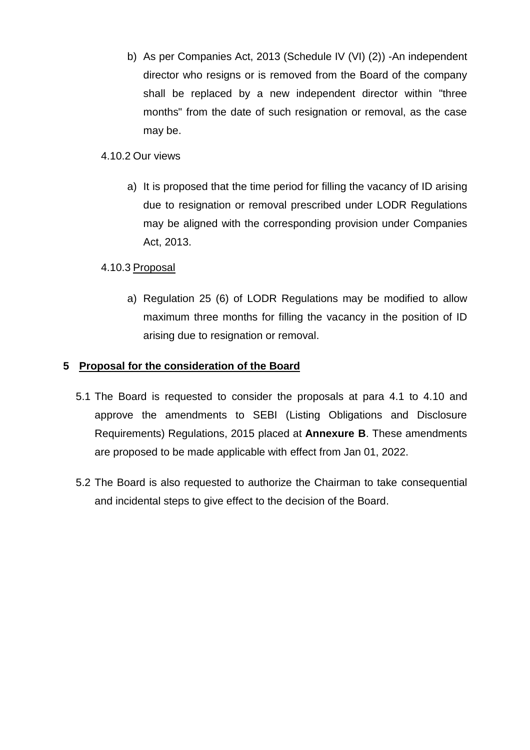b) As per Companies Act, 2013 (Schedule IV (VI) (2)) -An independent director who resigns or is removed from the Board of the company shall be replaced by a new independent director within "three months" from the date of such resignation or removal, as the case may be.

#### 4.10.2 Our views

a) It is proposed that the time period for filling the vacancy of ID arising due to resignation or removal prescribed under LODR Regulations may be aligned with the corresponding provision under Companies Act, 2013.

## 4.10.3 Proposal

a) Regulation 25 (6) of LODR Regulations may be modified to allow maximum three months for filling the vacancy in the position of ID arising due to resignation or removal.

#### **5 Proposal for the consideration of the Board**

- 5.1 The Board is requested to consider the proposals at para 4.1 to 4.10 and approve the amendments to SEBI (Listing Obligations and Disclosure Requirements) Regulations, 2015 placed at **Annexure B**. These amendments are proposed to be made applicable with effect from Jan 01, 2022.
- 5.2 The Board is also requested to authorize the Chairman to take consequential and incidental steps to give effect to the decision of the Board.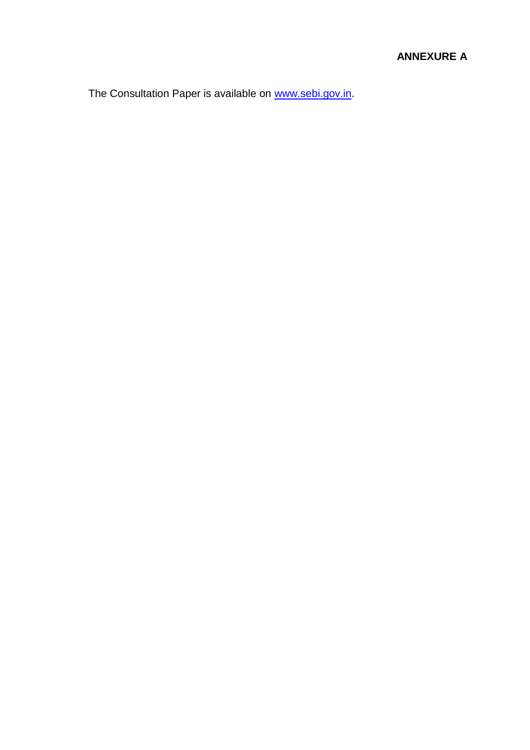The Consultation Paper is available on [www.sebi.gov.in.](http://www.sebi.gov.in/)